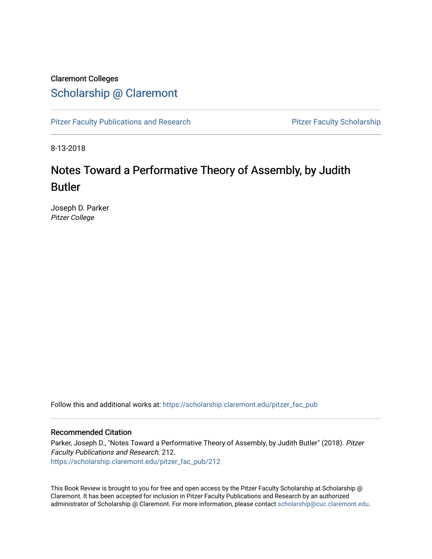## Claremont Colleges [Scholarship @ Claremont](https://scholarship.claremont.edu/)

[Pitzer Faculty Publications and Research](https://scholarship.claremont.edu/pitzer_fac_pub) **Pitzer Faculty Scholarship** Pitzer Faculty Scholarship

8-13-2018

# Notes Toward a Performative Theory of Assembly, by Judith Butler

Joseph D. Parker Pitzer College

Follow this and additional works at: [https://scholarship.claremont.edu/pitzer\\_fac\\_pub](https://scholarship.claremont.edu/pitzer_fac_pub?utm_source=scholarship.claremont.edu%2Fpitzer_fac_pub%2F212&utm_medium=PDF&utm_campaign=PDFCoverPages)

### Recommended Citation

Parker, Joseph D., "Notes Toward a Performative Theory of Assembly, by Judith Butler" (2018). Pitzer Faculty Publications and Research. 212. [https://scholarship.claremont.edu/pitzer\\_fac\\_pub/212](https://scholarship.claremont.edu/pitzer_fac_pub/212?utm_source=scholarship.claremont.edu%2Fpitzer_fac_pub%2F212&utm_medium=PDF&utm_campaign=PDFCoverPages)

This Book Review is brought to you for free and open access by the Pitzer Faculty Scholarship at Scholarship @ Claremont. It has been accepted for inclusion in Pitzer Faculty Publications and Research by an authorized administrator of Scholarship @ Claremont. For more information, please contact [scholarship@cuc.claremont.edu.](mailto:scholarship@cuc.claremont.edu)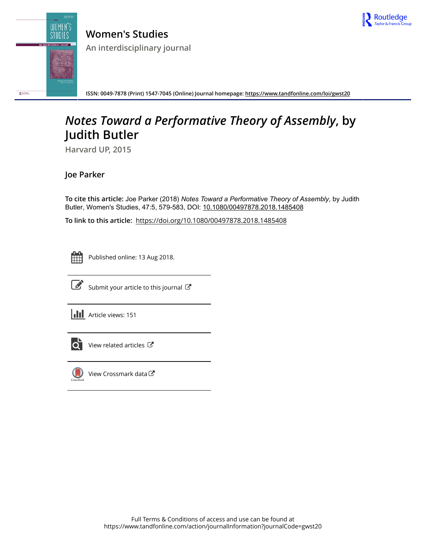

**Women's Studies An interdisciplinary journal**



**ISSN: 0049-7878 (Print) 1547-7045 (Online) Journal homepage:<https://www.tandfonline.com/loi/gwst20>**

# *Notes Toward a Performative Theory of Assembly***, by Judith Butler**

**Harvard UP, 2015**

**Joe Parker**

To cite this article: Joe Parker (2018) *Notes Toward a Performative Theory of Assembly*, by Judith Butler, Women's Studies, 47:5, 579-583, DOI: [10.1080/00497878.2018.1485408](https://www.tandfonline.com/action/showCitFormats?doi=10.1080/00497878.2018.1485408)

**To link to this article:** <https://doi.org/10.1080/00497878.2018.1485408>



Published online: 13 Aug 2018.



 $\overrightarrow{S}$  [Submit your article to this journal](https://www.tandfonline.com/action/authorSubmission?journalCode=gwst20&show=instructions)  $\overrightarrow{S}$ 

**III** Article views: 151



[View related articles](https://www.tandfonline.com/doi/mlt/10.1080/00497878.2018.1485408)  $\mathbb{Z}$ 



[View Crossmark data](http://crossmark.crossref.org/dialog/?doi=10.1080/00497878.2018.1485408&domain=pdf&date_stamp=2018-08-13)<sup>C</sup>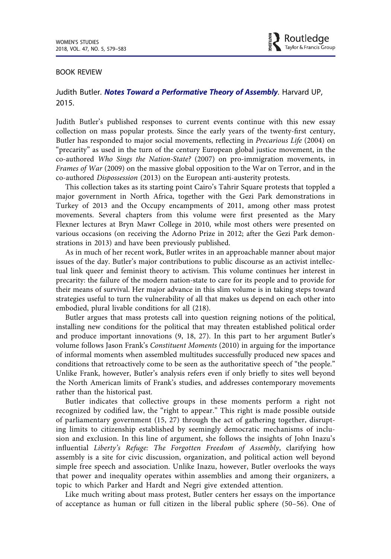#### BOOK REVIEW

### Judith Butler. Notes Toward a Performative Theory of Assembly. Harvard UP, 2015.

Judith Butler's published responses to current events continue with this new essay collection on mass popular protests. Since the early years of the twenty-first century, Butler has responded to major social movements, reflecting in Precarious Life (2004) on "precarity" as used in the turn of the century European global justice movement, in the co-authored Who Sings the Nation-State? (2007) on pro-immigration movements, in Frames of War (2009) on the massive global opposition to the War on Terror, and in the co-authored Dispossession (2013) on the European anti-austerity protests.

This collection takes as its starting point Cairo's Tahrir Square protests that toppled a major government in North Africa, together with the Gezi Park demonstrations in Turkey of 2013 and the Occupy encampments of 2011, among other mass protest movements. Several chapters from this volume were first presented as the Mary Flexner lectures at Bryn Mawr College in 2010, while most others were presented on various occasions (on receiving the Adorno Prize in 2012; after the Gezi Park demonstrations in 2013) and have been previously published.

As in much of her recent work, Butler writes in an approachable manner about major issues of the day. Butler's major contributions to public discourse as an activist intellectual link queer and feminist theory to activism. This volume continues her interest in precarity: the failure of the modern nation-state to care for its people and to provide for their means of survival. Her major advance in this slim volume is in taking steps toward strategies useful to turn the vulnerability of all that makes us depend on each other into embodied, plural livable conditions for all (218).

Butler argues that mass protests call into question reigning notions of the political, installing new conditions for the political that may threaten established political order and produce important innovations (9, 18, 27). In this part to her argument Butler's volume follows Jason Frank's Constituent Moments (2010) in arguing for the importance of informal moments when assembled multitudes successfully produced new spaces and conditions that retroactively come to be seen as the authoritative speech of "the people." Unlike Frank, however, Butler's analysis refers even if only briefly to sites well beyond the North American limits of Frank's studies, and addresses contemporary movements rather than the historical past.

Butler indicates that collective groups in these moments perform a right not recognized by codified law, the "right to appear." This right is made possible outside of parliamentary government (15, 27) through the act of gathering together, disrupting limits to citizenship established by seemingly democratic mechanisms of inclusion and exclusion. In this line of argument, she follows the insights of John Inazu's influential Liberty's Refuge: The Forgotten Freedom of Assembly, clarifying how assembly is a site for civic discussion, organization, and political action well beyond simple free speech and association. Unlike Inazu, however, Butler overlooks the ways that power and inequality operates within assemblies and among their organizers, a topic to which Parker and Hardt and Negri give extended attention.

Like much writing about mass protest, Butler centers her essays on the importance of acceptance as human or full citizen in the liberal public sphere (50–56). One of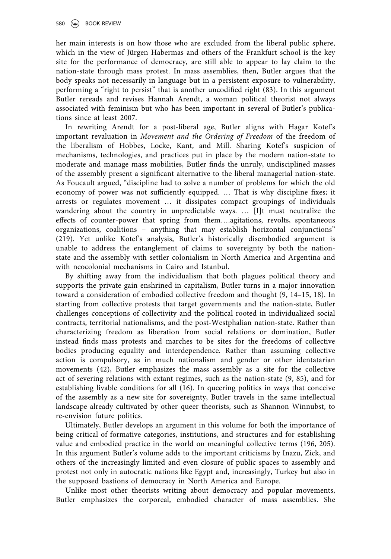her main interests is on how those who are excluded from the liberal public sphere, which in the view of Jürgen Habermas and others of the Frankfurt school is the key site for the performance of democracy, are still able to appear to lay claim to the nation-state through mass protest. In mass assemblies, then, Butler argues that the body speaks not necessarily in language but in a persistent exposure to vulnerability, performing a "right to persist" that is another uncodified right (83). In this argument Butler rereads and revises Hannah Arendt, a woman political theorist not always associated with feminism but who has been important in several of Butler's publications since at least 2007.

In rewriting Arendt for a post-liberal age, Butler aligns with Hagar Kotef's important revaluation in Movement and the Ordering of Freedom of the freedom of the liberalism of Hobbes, Locke, Kant, and Mill. Sharing Kotef's suspicion of mechanisms, technologies, and practices put in place by the modern nation-state to moderate and manage mass mobilities, Butler finds the unruly, undisciplined masses of the assembly present a significant alternative to the liberal managerial nation-state. As Foucault argued, "discipline had to solve a number of problems for which the old economy of power was not sufficiently equipped. … That is why discipline fixes; it arrests or regulates movement … it dissipates compact groupings of individuals wandering about the country in unpredictable ways. … [I]t must neutralize the effects of counter-power that spring from them….agitations, revolts, spontaneous organizations, coalitions – anything that may establish horizontal conjunctions" (219). Yet unlike Kotef's analysis, Butler's historically disembodied argument is unable to address the entanglement of claims to sovereignty by both the nationstate and the assembly with settler colonialism in North America and Argentina and with neocolonial mechanisms in Cairo and Istanbul.

By shifting away from the individualism that both plagues political theory and supports the private gain enshrined in capitalism, Butler turns in a major innovation toward a consideration of embodied collective freedom and thought (9, 14–15, 18). In starting from collective protests that target governments and the nation-state, Butler challenges conceptions of collectivity and the political rooted in individualized social contracts, territorial nationalisms, and the post-Westphalian nation-state. Rather than characterizing freedom as liberation from social relations or domination, Butler instead finds mass protests and marches to be sites for the freedoms of collective bodies producing equality and interdependence. Rather than assuming collective action is compulsory, as in much nationalism and gender or other identatarian movements (42), Butler emphasizes the mass assembly as a site for the collective act of severing relations with extant regimes, such as the nation-state (9, 85), and for establishing livable conditions for all (16). In queering politics in ways that conceive of the assembly as a new site for sovereignty, Butler travels in the same intellectual landscape already cultivated by other queer theorists, such as Shannon Winnubst, to re-envision future politics.

Ultimately, Butler develops an argument in this volume for both the importance of being critical of formative categories, institutions, and structures and for establishing value and embodied practice in the world on meaningful collective terms (196, 205). In this argument Butler's volume adds to the important criticisms by Inazu, Zick, and others of the increasingly limited and even closure of public spaces to assembly and protest not only in autocratic nations like Egypt and, increasingly, Turkey but also in the supposed bastions of democracy in North America and Europe.

Unlike most other theorists writing about democracy and popular movements, Butler emphasizes the corporeal, embodied character of mass assemblies. She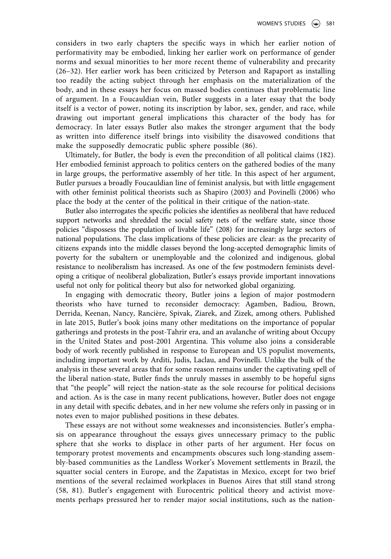considers in two early chapters the specific ways in which her earlier notion of performativity may be embodied, linking her earlier work on performance of gender norms and sexual minorities to her more recent theme of vulnerability and precarity (26–32). Her earlier work has been criticized by Peterson and Rapaport as installing too readily the acting subject through her emphasis on the materialization of the body, and in these essays her focus on massed bodies continues that problematic line of argument. In a Foucauldian vein, Butler suggests in a later essay that the body itself is a vector of power, noting its inscription by labor, sex, gender, and race, while drawing out important general implications this character of the body has for democracy. In later essays Butler also makes the stronger argument that the body as written into difference itself brings into visibility the disavowed conditions that make the supposedly democratic public sphere possible (86).

Ultimately, for Butler, the body is even the precondition of all political claims (182). Her embodied feminist approach to politics centers on the gathered bodies of the many in large groups, the performative assembly of her title. In this aspect of her argument, Butler pursues a broadly Foucauldian line of feminist analysis, but with little engagement with other feminist political theorists such as Shapiro (2003) and Povinelli (2006) who place the body at the center of the political in their critique of the nation-state.

Butler also interrogates the specific policies she identifies as neoliberal that have reduced support networks and shredded the social safety nets of the welfare state, since those policies "dispossess the population of livable life" (208) for increasingly large sectors of national populations. The class implications of these policies are clear: as the precarity of citizens expands into the middle classes beyond the long-accepted demographic limits of poverty for the subaltern or unemployable and the colonized and indigenous, global resistance to neoliberalism has increased. As one of the few postmodern feminists developing a critique of neoliberal globalization, Butler's essays provide important innovations useful not only for political theory but also for networked global organizing.

In engaging with democratic theory, Butler joins a legion of major postmodern theorists who have turned to reconsider democracy: Agamben, Badiou, Brown, Derrida, Keenan, Nancy, Rancière, Spivak, Ziarek, and Zizek, among others. Published in late 2015, Butler's book joins many other meditations on the importance of popular gatherings and protests in the post-Tahrir era, and an avalanche of writing about Occupy in the United States and post-2001 Argentina. This volume also joins a considerable body of work recently published in response to European and US populist movements, including important work by Arditi, Judis, Laclau, and Povinelli. Unlike the bulk of the analysis in these several areas that for some reason remains under the captivating spell of the liberal nation-state, Butler finds the unruly masses in assembly to be hopeful signs that "the people" will reject the nation-state as the sole recourse for political decisions and action. As is the case in many recent publications, however, Butler does not engage in any detail with specific debates, and in her new volume she refers only in passing or in notes even to major published positions in these debates.

These essays are not without some weaknesses and inconsistencies. Butler's emphasis on appearance throughout the essays gives unnecessary primacy to the public sphere that she works to displace in other parts of her argument. Her focus on temporary protest movements and encampments obscures such long-standing assembly-based communities as the Landless Worker's Movement settlements in Brazil, the squatter social centers in Europe, and the Zapatistas in Mexico, except for two brief mentions of the several reclaimed workplaces in Buenos Aires that still stand strong (58, 81). Butler's engagement with Eurocentric political theory and activist movements perhaps pressured her to render major social institutions, such as the nation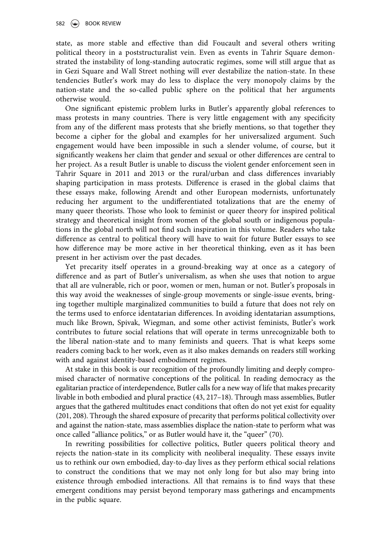state, as more stable and effective than did Foucault and several others writing political theory in a poststructuralist vein. Even as events in Tahrir Square demonstrated the instability of long-standing autocratic regimes, some will still argue that as in Gezi Square and Wall Street nothing will ever destabilize the nation-state. In these tendencies Butler's work may do less to displace the very monopoly claims by the nation-state and the so-called public sphere on the political that her arguments otherwise would.

One significant epistemic problem lurks in Butler's apparently global references to mass protests in many countries. There is very little engagement with any specificity from any of the different mass protests that she briefly mentions, so that together they become a cipher for the global and examples for her universalized argument. Such engagement would have been impossible in such a slender volume, of course, but it significantly weakens her claim that gender and sexual or other differences are central to her project. As a result Butler is unable to discuss the violent gender enforcement seen in Tahrir Square in 2011 and 2013 or the rural/urban and class differences invariably shaping participation in mass protests. Difference is erased in the global claims that these essays make, following Arendt and other European modernists, unfortunately reducing her argument to the undifferentiated totalizations that are the enemy of many queer theorists. Those who look to feminist or queer theory for inspired political strategy and theoretical insight from women of the global south or indigenous populations in the global north will not find such inspiration in this volume. Readers who take difference as central to political theory will have to wait for future Butler essays to see how difference may be more active in her theoretical thinking, even as it has been present in her activism over the past decades.

Yet precarity itself operates in a ground-breaking way at once as a category of difference and as part of Butler's universalism, as when she uses that notion to argue that all are vulnerable, rich or poor, women or men, human or not. Butler's proposals in this way avoid the weaknesses of single-group movements or single-issue events, bringing together multiple marginalized communities to build a future that does not rely on the terms used to enforce identatarian differences. In avoiding identatarian assumptions, much like Brown, Spivak, Wiegman, and some other activist feminists, Butler's work contributes to future social relations that will operate in terms unrecognizable both to the liberal nation-state and to many feminists and queers. That is what keeps some readers coming back to her work, even as it also makes demands on readers still working with and against identity-based embodiment regimes.

At stake in this book is our recognition of the profoundly limiting and deeply compromised character of normative conceptions of the political. In reading democracy as the egalitarian practice of interdependence, Butler calls for a new way of life that makes precarity livable in both embodied and plural practice (43, 217–18). Through mass assemblies, Butler argues that the gathered multitudes enact conditions that often do not yet exist for equality (201, 208). Through the shared exposure of precarity that performs political collectivity over and against the nation-state, mass assemblies displace the nation-state to perform what was once called "alliance politics," or as Butler would have it, the "queer" (70).

In rewriting possibilities for collective politics, Butler queers political theory and rejects the nation-state in its complicity with neoliberal inequality. These essays invite us to rethink our own embodied, day-to-day lives as they perform ethical social relations to construct the conditions that we may not only long for but also may bring into existence through embodied interactions. All that remains is to find ways that these emergent conditions may persist beyond temporary mass gatherings and encampments in the public square.